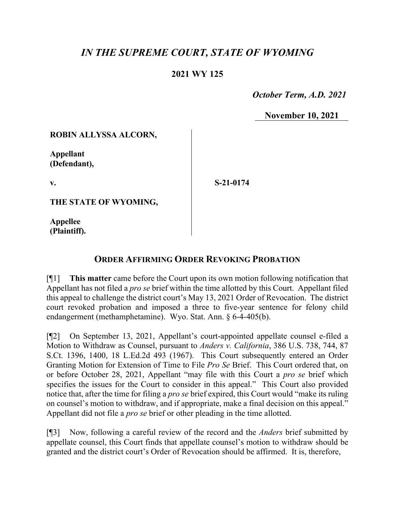# *IN THE SUPREME COURT, STATE OF WYOMING*

## **2021 WY 125**

 *October Term, A.D. 2021*

**November 10, 2021**

#### **ROBIN ALLYSSA ALCORN,**

**Appellant (Defendant),**

**v.**

**S-21-0174**

**THE STATE OF WYOMING,**

**Appellee (Plaintiff).**

## **ORDER AFFIRMING ORDER REVOKING PROBATION**

[¶1] **This matter** came before the Court upon its own motion following notification that Appellant has not filed a *pro se* brief within the time allotted by this Court. Appellant filed this appeal to challenge the district court's May 13, 2021 Order of Revocation. The district court revoked probation and imposed a three to five-year sentence for felony child endangerment (methamphetamine). Wyo. Stat. Ann. § 6-4-405(b).

[¶2] On September 13, 2021, Appellant's court-appointed appellate counsel e-filed a Motion to Withdraw as Counsel, pursuant to *Anders v. California*, 386 U.S. 738, 744, 87 S.Ct. 1396, 1400, 18 L.Ed.2d 493 (1967). This Court subsequently entered an Order Granting Motion for Extension of Time to File *Pro Se* Brief. This Court ordered that, on or before October 28, 2021, Appellant "may file with this Court a *pro se* brief which specifies the issues for the Court to consider in this appeal." This Court also provided notice that, after the time for filing a *pro se* brief expired, this Court would "make its ruling on counsel's motion to withdraw, and if appropriate, make a final decision on this appeal." Appellant did not file a *pro se* brief or other pleading in the time allotted.

[¶3] Now, following a careful review of the record and the *Anders* brief submitted by appellate counsel, this Court finds that appellate counsel's motion to withdraw should be granted and the district court's Order of Revocation should be affirmed. It is, therefore,